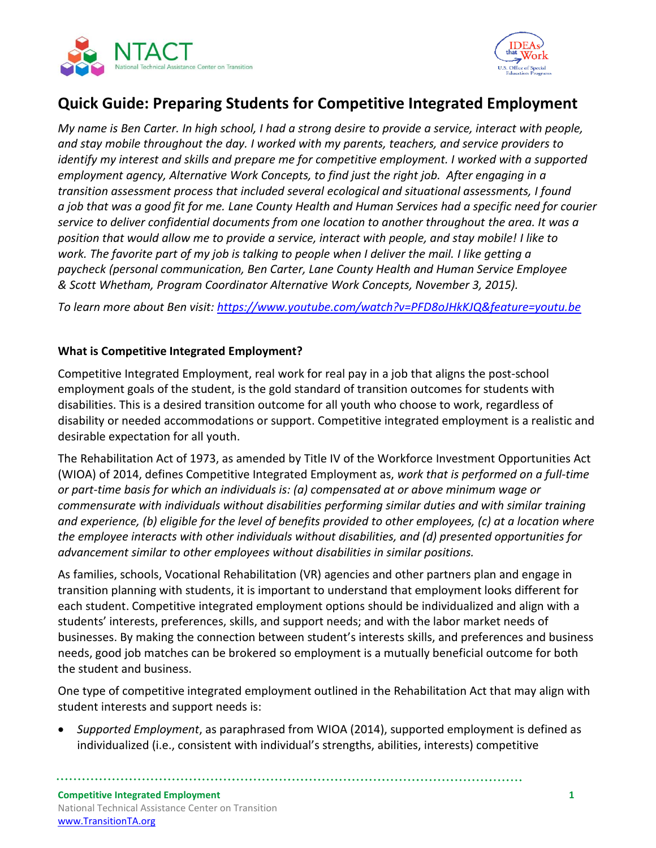



# **Quick Guide: Preparing Students for Competitive Integrated Employment**

*My name is Ben Carter. In high school, I had a strong desire to provide a service, interact with people, and stay mobile throughout the day. I worked with my parents, teachers, and service providers to identify my interest and skills and prepare me for competitive employment. I worked with a supported employment agency, Alternative Work Concepts, to find just the right job. After engaging in a transition assessment process that included several ecological and situational assessments, I found a job that was a good fit for me. Lane County Health and Human Services had a specific need for courier service to deliver confidential documents from one location to another throughout the area. It was a position that would allow me to provide a service, interact with people, and stay mobile! I like to work. The favorite part of my job is talking to people when I deliver the mail. I like getting a paycheck (personal communication, Ben Carter, Lane County Health and Human Service Employee & Scott Whetham, Program Coordinator Alternative Work Concepts, November 3, 2015).*

*To learn more about Ben visit: <https://www.youtube.com/watch?v=PFD8oJHkKJQ&feature=youtu.be>*

#### **What is Competitive Integrated Employment?**

Competitive Integrated Employment, real work for real pay in a job that aligns the post-school employment goals of the student, is the gold standard of transition outcomes for students with disabilities. This is a desired transition outcome for all youth who choose to work, regardless of disability or needed accommodations or support. Competitive integrated employment is a realistic and desirable expectation for all youth.

The Rehabilitation Act of 1973, as amended by Title IV of the Workforce Investment Opportunities Act (WIOA) of 2014, defines Competitive Integrated Employment as, *work that is performed on a full-time or part-time basis for which an individuals is: (a) compensated at or above minimum wage or commensurate with individuals without disabilities performing similar duties and with similar training and experience, (b) eligible for the level of benefits provided to other employees, (c) at a location where the employee interacts with other individuals without disabilities, and (d) presented opportunities for advancement similar to other employees without disabilities in similar positions.*

As families, schools, Vocational Rehabilitation (VR) agencies and other partners plan and engage in transition planning with students, it is important to understand that employment looks different for each student. Competitive integrated employment options should be individualized and align with a students' interests, preferences, skills, and support needs; and with the labor market needs of businesses. By making the connection between student's interests skills, and preferences and business needs, good job matches can be brokered so employment is a mutually beneficial outcome for both the student and business.

One type of competitive integrated employment outlined in the Rehabilitation Act that may align with student interests and support needs is:

 *Supported Employment*, as paraphrased from WIOA (2014), supported employment is defined as individualized (i.e., consistent with individual's strengths, abilities, interests) competitive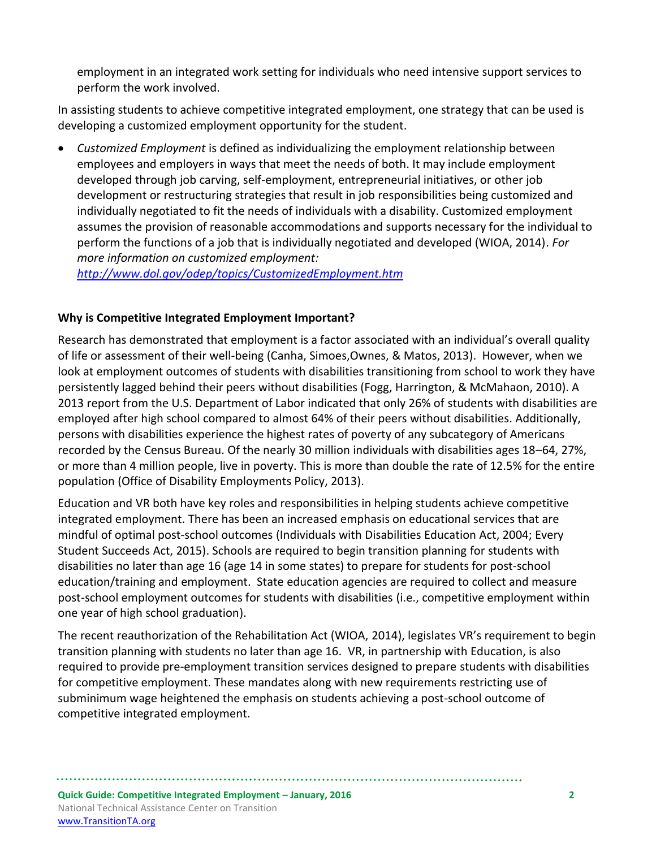employment in an integrated work setting for individuals who need intensive support services to perform the work involved.

In assisting students to achieve competitive integrated employment, one strategy that can be used is developing a customized employment opportunity for the student.

 *Customized Employment* is defined as individualizing the employment relationship between employees and employers in ways that meet the needs of both. It may include employment developed through job carving, self-employment, entrepreneurial initiatives, or other job development or restructuring strategies that result in job responsibilities being customized and individually negotiated to fit the needs of individuals with a disability. Customized employment assumes the provision of reasonable accommodations and supports necessary for the individual to perform the functions of a job that is individually negotiated and developed (WIOA, 2014). *For more information on customized employment:*

*<http://www.dol.gov/odep/topics/CustomizedEmployment.htm>*

## **Why is Competitive Integrated Employment Important?**

Research has demonstrated that employment is a factor associated with an individual's overall quality of life or assessment of their well-being (Canha, Simoes,Ownes, & Matos, 2013). However, when we look at employment outcomes of students with disabilities transitioning from school to work they have persistently lagged behind their peers without disabilities (Fogg, Harrington, & McMahaon, 2010). A 2013 report from the U.S. Department of Labor indicated that only 26% of students with disabilities are employed after high school compared to almost 64% of their peers without disabilities. Additionally, persons with disabilities experience the highest rates of poverty of any subcategory of Americans recorded by the Census Bureau. Of the nearly 30 million individuals with disabilities ages 18–64, 27%, or more than 4 million people, live in poverty. This is more than double the rate of 12.5% for the entire population (Office of Disability Employments Policy, 2013).

Education and VR both have key roles and responsibilities in helping students achieve competitive integrated employment. There has been an increased emphasis on educational services that are mindful of optimal post-school outcomes (Individuals with Disabilities Education Act, 2004; Every Student Succeeds Act, 2015). Schools are required to begin transition planning for students with disabilities no later than age 16 (age 14 in some states) to prepare for students for post-school education/training and employment. State education agencies are required to collect and measure post-school employment outcomes for students with disabilities (i.e., competitive employment within one year of high school graduation).

The recent reauthorization of the Rehabilitation Act (WIOA, 2014), legislates VR's requirement to begin transition planning with students no later than age 16. VR, in partnership with Education, is also required to provide pre-employment transition services designed to prepare students with disabilities for competitive employment. These mandates along with new requirements restricting use of subminimum wage heightened the emphasis on students achieving a post-school outcome of competitive integrated employment.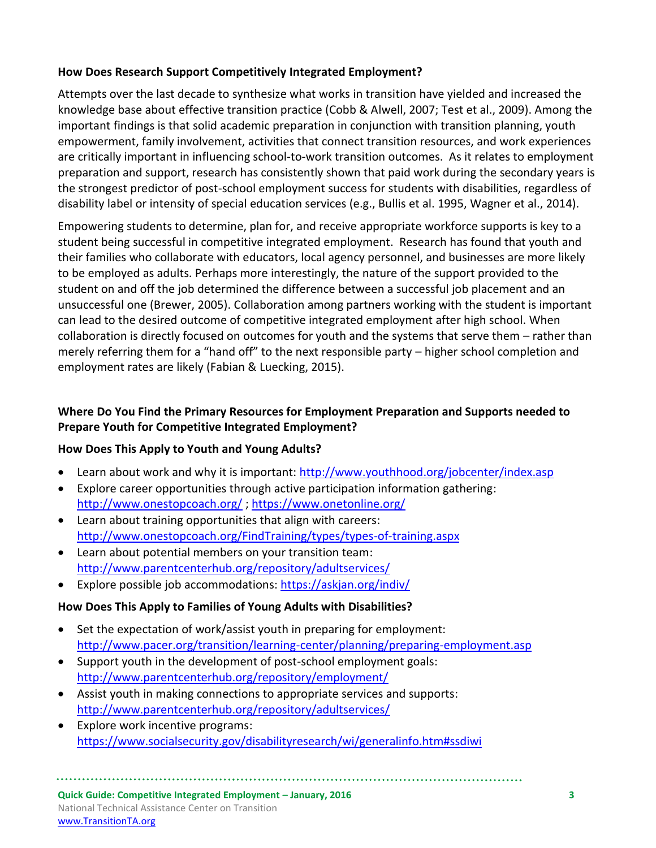#### **How Does Research Support Competitively Integrated Employment?**

Attempts over the last decade to synthesize what works in transition have yielded and increased the knowledge base about effective transition practice (Cobb & Alwell, 2007; Test et al., 2009). Among the important findings is that solid academic preparation in conjunction with transition planning, youth empowerment, family involvement, activities that connect transition resources, and work experiences are critically important in influencing school-to-work transition outcomes. As it relates to employment preparation and support, research has consistently shown that paid work during the secondary years is the strongest predictor of post-school employment success for students with disabilities, regardless of disability label or intensity of special education services (e.g., Bullis et al. 1995, Wagner et al., 2014).

Empowering students to determine, plan for, and receive appropriate workforce supports is key to a student being successful in competitive integrated employment. Research has found that youth and their families who collaborate with educators, local agency personnel, and businesses are more likely to be employed as adults. Perhaps more interestingly, the nature of the support provided to the student on and off the job determined the difference between a successful job placement and an unsuccessful one (Brewer, 2005). Collaboration among partners working with the student is important can lead to the desired outcome of competitive integrated employment after high school. When collaboration is directly focused on outcomes for youth and the systems that serve them – rather than merely referring them for a "hand off" to the next responsible party – higher school completion and employment rates are likely (Fabian & Luecking, 2015).

### **Where Do You Find the Primary Resources for Employment Preparation and Supports needed to Prepare Youth for Competitive Integrated Employment?**

#### **How Does This Apply to Youth and Young Adults?**

- Learn about work and why it is important: <http://www.youthhood.org/jobcenter/index.asp>
- Explore career opportunities through active participation information gathering: <http://www.onestopcoach.org/> ;<https://www.onetonline.org/>
- Learn about training opportunities that align with careers: <http://www.onestopcoach.org/FindTraining/types/types-of-training.aspx>
- Learn about potential members on your transition team: <http://www.parentcenterhub.org/repository/adultservices/>
- Explore possible job accommodations:<https://askjan.org/indiv/>

#### **How Does This Apply to Families of Young Adults with Disabilities?**

- Set the expectation of work/assist youth in preparing for employment: <http://www.pacer.org/transition/learning-center/planning/preparing-employment.asp>
- Support youth in the development of post-school employment goals: <http://www.parentcenterhub.org/repository/employment/>
- Assist youth in making connections to appropriate services and supports: <http://www.parentcenterhub.org/repository/adultservices/>
- Explore work incentive programs: <https://www.socialsecurity.gov/disabilityresearch/wi/generalinfo.htm#ssdiwi>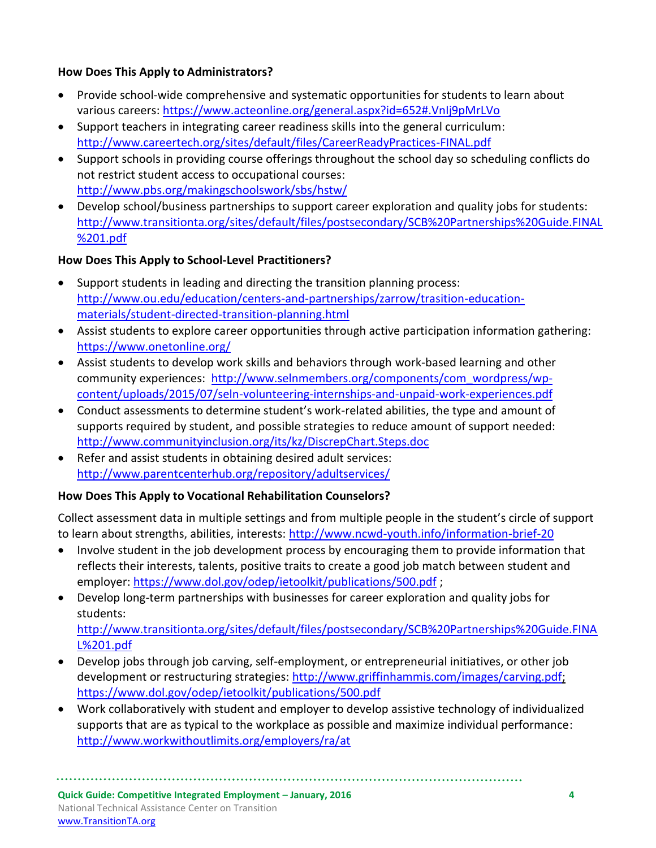### **How Does This Apply to Administrators?**

- Provide school-wide comprehensive and systematic opportunities for students to learn about various careers: <https://www.acteonline.org/general.aspx?id=652#.VnIj9pMrLVo>
- Support teachers in integrating career readiness skills into the general curriculum: <http://www.careertech.org/sites/default/files/CareerReadyPractices-FINAL.pdf>
- Support schools in providing course offerings throughout the school day so scheduling conflicts do not restrict student access to occupational courses: <http://www.pbs.org/makingschoolswork/sbs/hstw/>
- Develop school/business partnerships to support career exploration and quality jobs for students: [http://www.transitionta.org/sites/default/files/postsecondary/SCB%20Partnerships%20Guide.FINAL](http://www.transitionta.org/sites/default/files/postsecondary/SCB%20Partnerships%20Guide.FINAL%201.pdf) [%201.pdf](http://www.transitionta.org/sites/default/files/postsecondary/SCB%20Partnerships%20Guide.FINAL%201.pdf)

# **How Does This Apply to School-Level Practitioners?**

- Support students in leading and directing the transition planning process: [http://www.ou.edu/education/centers-and-partnerships/zarrow/trasition-education](http://www.ou.edu/education/centers-and-partnerships/zarrow/trasition-education-materials/student-directed-transition-planning.html)[materials/student-directed-transition-planning.html](http://www.ou.edu/education/centers-and-partnerships/zarrow/trasition-education-materials/student-directed-transition-planning.html)
- Assist students to explore career opportunities through active participation information gathering: <https://www.onetonline.org/>
- Assist students to develop work skills and behaviors through work-based learning and other community experiences: [http://www.selnmembers.org/components/com\\_wordpress/wp](http://www.selnmembers.org/components/com_wordpress/wp-content/uploads/2015/07/seln-volunteering-internships-and-unpaid-work-experiences.pdf)[content/uploads/2015/07/seln-volunteering-internships-and-unpaid-work-experiences.pdf](http://www.selnmembers.org/components/com_wordpress/wp-content/uploads/2015/07/seln-volunteering-internships-and-unpaid-work-experiences.pdf)
- Conduct assessments to determine student's work-related abilities, the type and amount of supports required by student, and possible strategies to reduce amount of support needed: <http://www.communityinclusion.org/its/kz/DiscrepChart.Steps.doc>
- Refer and assist students in obtaining desired adult services: <http://www.parentcenterhub.org/repository/adultservices/>

## **How Does This Apply to Vocational Rehabilitation Counselors?**

Collect assessment data in multiple settings and from multiple people in the student's circle of support to learn about strengths, abilities, interests:<http://www.ncwd-youth.info/information-brief-20>

- Involve student in the job development process by encouraging them to provide information that reflects their interests, talents, positive traits to create a good job match between student and employer: <https://www.dol.gov/odep/ietoolkit/publications/500.pdf>;
- Develop long-term partnerships with businesses for career exploration and quality jobs for students: [http://www.transitionta.org/sites/default/files/postsecondary/SCB%20Partnerships%20Guide.FINA](http://www.transitionta.org/sites/default/files/postsecondary/SCB%20Partnerships%20Guide.FINAL%201.pdf) [L%201.pdf](http://www.transitionta.org/sites/default/files/postsecondary/SCB%20Partnerships%20Guide.FINAL%201.pdf)
- Develop jobs through job carving, self-employment, or entrepreneurial initiatives, or other job development or restructuring strategies: [http://www.griffinhammis.com/images/carving.pdf;](http://www.griffinhammis.com/images/carving.pdf) <https://www.dol.gov/odep/ietoolkit/publications/500.pdf>
- Work collaboratively with student and employer to develop assistive technology of individualized supports that are as typical to the workplace as possible and maximize individual performance: <http://www.workwithoutlimits.org/employers/ra/at>